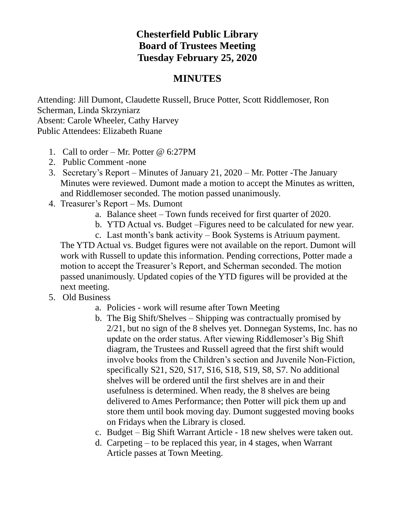## **Chesterfield Public Library Board of Trustees Meeting Tuesday February 25, 2020**

## **MINUTES**

Attending: Jill Dumont, Claudette Russell, Bruce Potter, Scott Riddlemoser, Ron Scherman, Linda Skrzyniarz Absent: Carole Wheeler, Cathy Harvey Public Attendees: Elizabeth Ruane

- 1. Call to order Mr. Potter @ 6:27PM
- 2. Public Comment -none
- 3. Secretary's Report Minutes of January 21, 2020 Mr. Potter -The January Minutes were reviewed. Dumont made a motion to accept the Minutes as written, and Riddlemoser seconded. The motion passed unanimously.
- 4. Treasurer's Report Ms. Dumont
	- a. Balance sheet Town funds received for first quarter of 2020.
	- b. YTD Actual vs. Budget –Figures need to be calculated for new year.
	- c. Last month's bank activity Book Systems is Atriuum payment.

The YTD Actual vs. Budget figures were not available on the report. Dumont will work with Russell to update this information. Pending corrections, Potter made a motion to accept the Treasurer's Report, and Scherman seconded. The motion passed unanimously. Updated copies of the YTD figures will be provided at the next meeting.

- 5. Old Business
	- a. Policies work will resume after Town Meeting
	- b. The Big Shift/Shelves Shipping was contractually promised by 2/21, but no sign of the 8 shelves yet. Donnegan Systems, Inc. has no update on the order status. After viewing Riddlemoser's Big Shift diagram, the Trustees and Russell agreed that the first shift would involve books from the Children's section and Juvenile Non-Fiction, specifically S21, S20, S17, S16, S18, S19, S8, S7. No additional shelves will be ordered until the first shelves are in and their usefulness is determined. When ready, the 8 shelves are being delivered to Ames Performance; then Potter will pick them up and store them until book moving day. Dumont suggested moving books on Fridays when the Library is closed.
	- c. Budget Big Shift Warrant Article 18 new shelves were taken out.
	- d. Carpeting to be replaced this year, in 4 stages, when Warrant Article passes at Town Meeting.